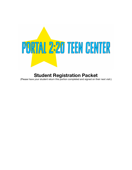

# **Student Registration Packet**

(Please have your student return this portion completed and signed on their next visit.)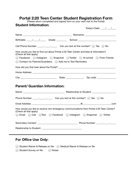# **Portal 2:20 Teen Center Student Registration Form**

(Please return completed and signed form on your next visit to the Portal)

| <b>Student Information:</b>                              | Today's Date: $\frac{1}{\sqrt{1-\frac{1}{2}}}$                                               |
|----------------------------------------------------------|----------------------------------------------------------------------------------------------|
|                                                          |                                                                                              |
|                                                          |                                                                                              |
|                                                          | Birthdate: // / Grade: Cambridge School: Cambridge School: Cambridge School: 2011            |
|                                                          | Cell Phone Number: ______________________________Can you text at this number? ( ) Yes ( ) No |
| (Check all that apply)                                   | How would you like to find out about Portal 2:20 Teen Center activities & information?       |
|                                                          | Facebook Instagram Snapchat Twitter At school From Friends                                   |
| Contact my Parents/Guardians 40 Add me to Text Reminders |                                                                                              |
|                                                          |                                                                                              |
|                                                          |                                                                                              |
|                                                          |                                                                                              |
| <b>Parent/ Guardian Information:</b>                     |                                                                                              |
|                                                          |                                                                                              |
|                                                          | Phone Number: _________________________________Can you text at this number? ( ) Yes ( ) No   |
|                                                          | @                                                                                            |
| (Check all that apply)                                   | How would you like to receive non-emergency communications from Portal 2:20 Teen Center?     |
| Email                                                    | Call Text Facebook Instagram Snapchat<br>Twitter                                             |
| Secondary Contact:                                       |                                                                                              |

Relationship to Student: \_\_\_\_\_\_\_\_\_\_\_\_\_\_\_\_\_\_\_\_\_\_\_\_\_\_\_\_\_\_\_\_\_\_

# **For Office Use Only:**

|                        |          | Student Waiver & Release on file   Medical Waiver & Release on file |
|------------------------|----------|---------------------------------------------------------------------|
| Student Survey on file | ◯ Notes: |                                                                     |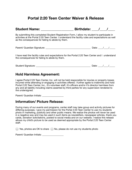# **Portal 2:20 Teen Center Waiver & Release**

| Student Name: _______________                                                                                                                                                                                                                            | Birthdate: / / |             |  |
|----------------------------------------------------------------------------------------------------------------------------------------------------------------------------------------------------------------------------------------------------------|----------------|-------------|--|
| By submitting this completed Student Registration Form, I allow my student to participate in<br>activities at the Portal 2:20 Teen Center. I understand the facility rules and expectations as well<br>as the consequences for failing to abide by them. |                |             |  |
|                                                                                                                                                                                                                                                          |                |             |  |
| I have read the facility rules and expectations for the Portal 2:20 Teen Center and I understand<br>the consequences for failing to abide by them.                                                                                                       |                |             |  |
|                                                                                                                                                                                                                                                          |                | Date: $/$ / |  |

### **Hold Harmless Agreement:**

I agree Portal 2:20 Teen Center, Inc. will not be held responsible for injuries or property losses incurred while attending or engaging in activities offered. I further agree to indemnify and hold Portal 2:20 Teen Center, Inc., it's volunteer staff, it's officers and/or it's director harmless from any and all liability including claims asserted by third parties for any supervision rendered to the undersigned.

Parent/ Guardian Initials: \_\_\_\_\_\_\_\_\_\_\_\_\_\_\_\_\_\_

#### **Information/ Picture Release:**

During many of our events and programs, center staff may take group and activity pictures for differing purposes. I give my permission for the Portal 2:20 Teen Center to use my students photo in marketing, publicity and other public means. We realize the photos will never be used in a negative way and may be used in such items as newsletters, newspaper articles, thank you cards, donation solicitations, posted to social media and on our website. I realize this release allows my child's picture to be used as deemed appropriate by the Portal 2:20 Teen Center staff.

◯ Yes, photos are OK to share ◯ No, please do not use my students photo

Parent/ Guardian Initials: